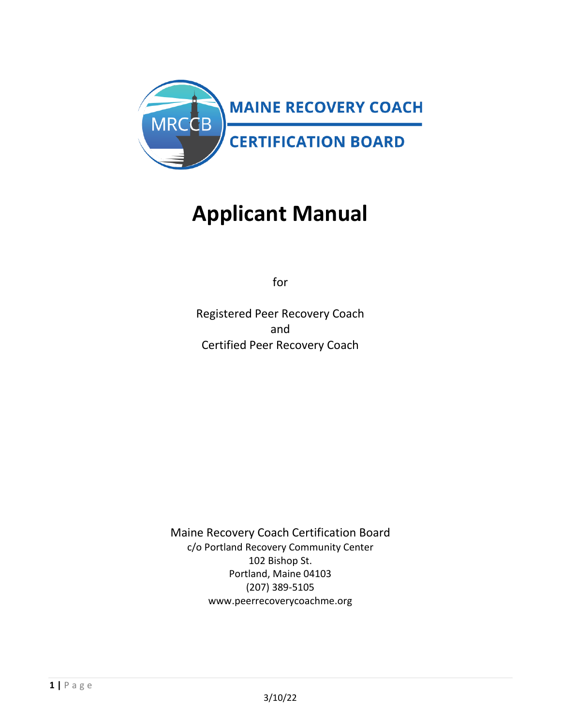

## **Applicant Manual**

for

Registered Peer Recovery Coach and Certified Peer Recovery Coach

Maine Recovery Coach Certification Board c/o Portland Recovery Community Center 102 Bishop St. Portland, Maine 04103 (207) 389-5105 www.peerrecoverycoachme.org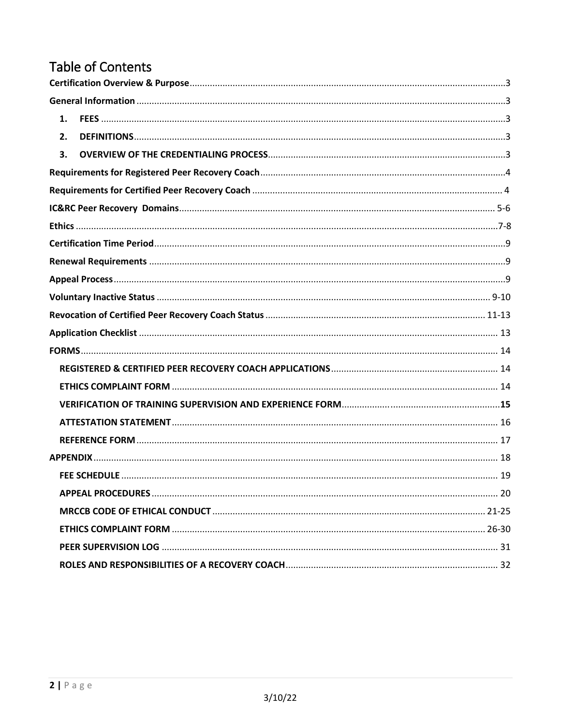## **Table of Contents**

| 1. |  |
|----|--|
| 2. |  |
| 3. |  |
|    |  |
|    |  |
|    |  |
|    |  |
|    |  |
|    |  |
|    |  |
|    |  |
|    |  |
|    |  |
|    |  |
|    |  |
|    |  |
|    |  |
|    |  |
|    |  |
|    |  |
|    |  |
|    |  |
|    |  |
|    |  |
|    |  |
|    |  |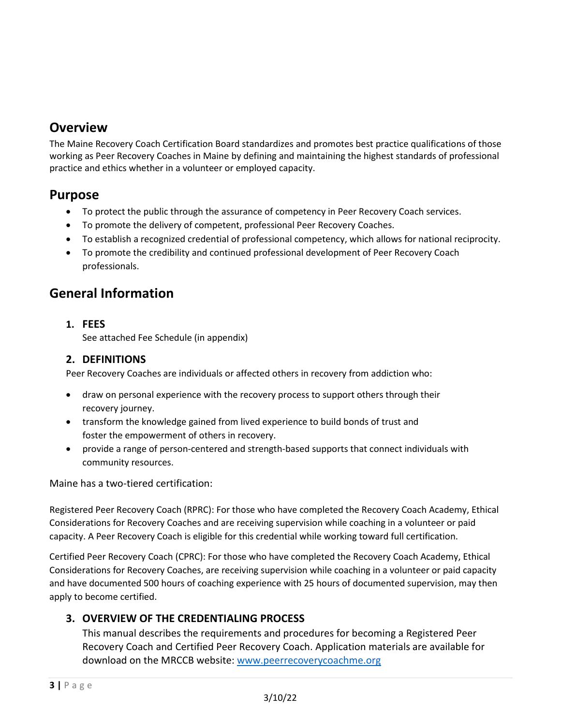## **Overview**

The Maine Recovery Coach Certification Board standardizes and promotes best practice qualifications of those working as Peer Recovery Coaches in Maine by defining and maintaining the highest standards of professional practice and ethics whether in a volunteer or employed capacity.

## <span id="page-2-0"></span>**Purpose**

- To protect the public through the assurance of competency in Peer Recovery Coach services.
- To promote the delivery of competent, professional Peer Recovery Coaches.
- To establish a recognized credential of professional competency, which allows for national reciprocity.
- To promote the credibility and continued professional development of Peer Recovery Coach professionals.

## <span id="page-2-1"></span>**General Information**

<span id="page-2-2"></span>**1. FEES** See attached Fee Schedule (in appendix)

#### <span id="page-2-3"></span>**2. DEFINITIONS**

Peer Recovery Coaches are individuals or affected others in recovery from addiction who:

- draw on personal experience with the recovery process to support others through their recovery journey.
- transform the knowledge gained from lived experience to build bonds of trust and foster the empowerment of others in recovery.
- provide a range of person-centered and strength-based supports that connect individuals with community resources.

Maine has a two-tiered certification:

Registered Peer Recovery Coach (RPRC): For those who have completed the Recovery Coach Academy, Ethical Considerations for Recovery Coaches and are receiving supervision while coaching in a volunteer or paid capacity. A Peer Recovery Coach is eligible for this credential while working toward full certification.

Certified Peer Recovery Coach (CPRC): For those who have completed the Recovery Coach Academy, Ethical Considerations for Recovery Coaches, are receiving supervision while coaching in a volunteer or paid capacity and have documented 500 hours of coaching experience with 25 hours of documented supervision, may then apply to become certified.

#### <span id="page-2-4"></span>**3. OVERVIEW OF THE CREDENTIALING PROCESS**

This manual describes the requirements and procedures for becoming a Registered Peer Recovery Coach and Certified Peer Recovery Coach. Application materials are available for download on the MRCCB website[: www.peerrecoverycoachme.org](http://www.peerrecoverycoachme.org/)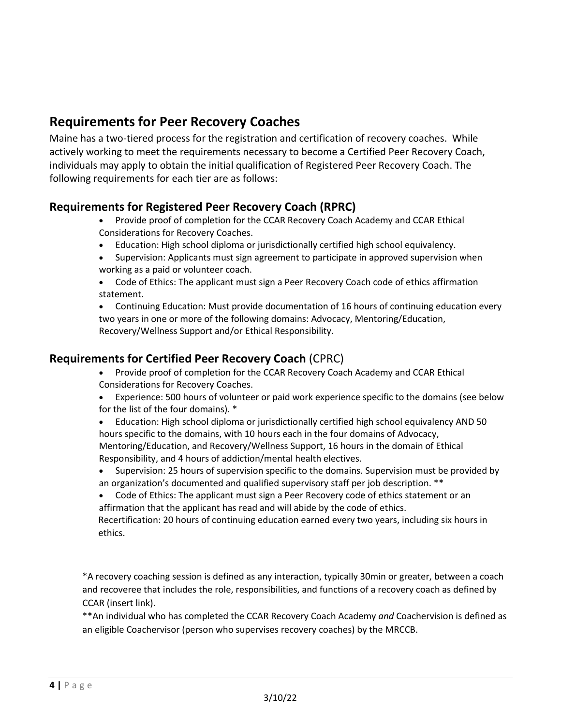## <span id="page-3-0"></span>**Requirements for Peer Recovery Coaches**

Maine has a two-tiered process for the registration and certification of recovery coaches. While actively working to meet the requirements necessary to become a Certified Peer Recovery Coach, individuals may apply to obtain the initial qualification of Registered Peer Recovery Coach. The following requirements for each tier are as follows:

#### **Requirements for Registered Peer Recovery Coach (RPRC)**

- Provide proof of completion for the CCAR Recovery Coach Academy and CCAR Ethical Considerations for Recovery Coaches.
- Education: High school diploma or jurisdictionally certified high school equivalency.
- Supervision: Applicants must sign agreement to participate in approved supervision when working as a paid or volunteer coach.
- Code of Ethics: The applicant must sign a Peer Recovery Coach code of ethics affirmation statement.

• Continuing Education: Must provide documentation of 16 hours of continuing education every two years in one or more of the following domains: Advocacy, Mentoring/Education, Recovery/Wellness Support and/or Ethical Responsibility.

#### **Requirements for Certified Peer Recovery Coach** (CPRC)

- Provide proof of completion for the CCAR Recovery Coach Academy and CCAR Ethical Considerations for Recovery Coaches.
- Experience: 500 hours of volunteer or paid work experience specific to the domains (see below for the list of the four domains). \*
- Education: High school diploma or jurisdictionally certified high school equivalency AND 50 hours specific to the domains, with 10 hours each in the four domains of Advocacy, Mentoring/Education, and Recovery/Wellness Support, 16 hours in the domain of Ethical Responsibility, and 4 hours of addiction/mental health electives.
- Supervision: 25 hours of supervision specific to the domains. Supervision must be provided by an organization's documented and qualified supervisory staff per job description. \*\*
- Code of Ethics: The applicant must sign a Peer Recovery code of ethics statement or an affirmation that the applicant has read and will abide by the code of ethics.

Recertification: 20 hours of continuing education earned every two years, including six hours in ethics.

<span id="page-3-1"></span>\*A recovery coaching session is defined as any interaction, typically 30min or greater, between a coach and recoveree that includes the role, responsibilities, and functions of a recovery coach as defined by CCAR (insert link).

\*\*An individual who has completed the CCAR Recovery Coach Academy *and* Coachervision is defined as an eligible Coachervisor (person who supervises recovery coaches) by the MRCCB.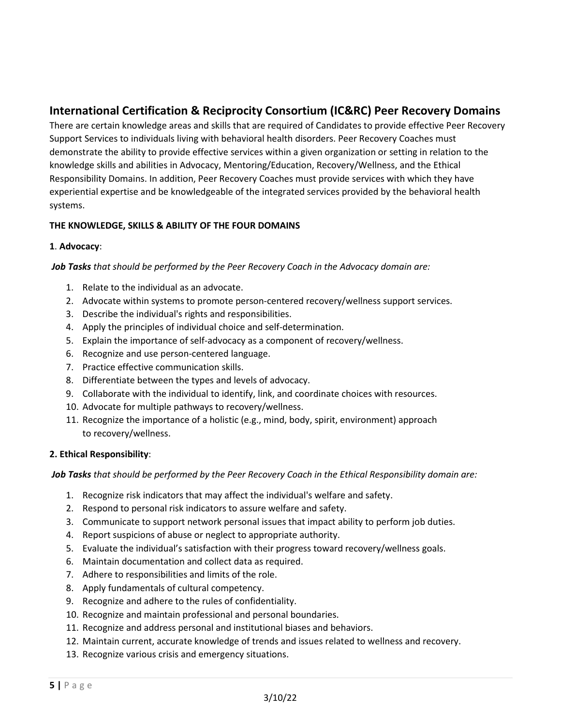### **International Certification & Reciprocity Consortium (IC&RC) Peer Recovery Domains**

There are certain knowledge areas and skills that are required of Candidates to provide effective Peer Recovery Support Services to individuals living with behavioral health disorders. Peer Recovery Coaches must demonstrate the ability to provide effective services within a given organization or setting in relation to the knowledge skills and abilities in Advocacy, Mentoring/Education, Recovery/Wellness, and the Ethical Responsibility Domains. In addition, Peer Recovery Coaches must provide services with which they have experiential expertise and be knowledgeable of the integrated services provided by the behavioral health systems.

#### **THE KNOWLEDGE, SKILLS & ABILITY OF THE FOUR DOMAINS**

#### **1**. **Advocacy**:

#### *Job Tasks that should be performed by the Peer Recovery Coach in the Advocacy domain are:*

- 1. Relate to the individual as an advocate.
- 2. Advocate within systems to promote person-centered recovery/wellness support services.
- 3. Describe the individual's rights and responsibilities.
- 4. Apply the principles of individual choice and self-determination.
- 5. Explain the importance of self-advocacy as a component of recovery/wellness.
- 6. Recognize and use person-centered language.
- 7. Practice effective communication skills.
- 8. Differentiate between the types and levels of advocacy.
- 9. Collaborate with the individual to identify, link, and coordinate choices with resources.
- 10. Advocate for multiple pathways to recovery/wellness.
- 11. Recognize the importance of a holistic (e.g., mind, body, spirit, environment) approach to recovery/wellness.

#### **2. Ethical Responsibility**:

*Job Tasks that should be performed by the Peer Recovery Coach in the Ethical Responsibility domain are:* 

- 1. Recognize risk indicators that may affect the individual's welfare and safety.
- 2. Respond to personal risk indicators to assure welfare and safety.
- 3. Communicate to support network personal issues that impact ability to perform job duties.
- 4. Report suspicions of abuse or neglect to appropriate authority.
- 5. Evaluate the individual's satisfaction with their progress toward recovery/wellness goals.
- 6. Maintain documentation and collect data as required.
- 7. Adhere to responsibilities and limits of the role.
- 8. Apply fundamentals of cultural competency.
- 9. Recognize and adhere to the rules of confidentiality.
- 10. Recognize and maintain professional and personal boundaries.
- 11. Recognize and address personal and institutional biases and behaviors.
- 12. Maintain current, accurate knowledge of trends and issues related to wellness and recovery.
- 13. Recognize various crisis and emergency situations.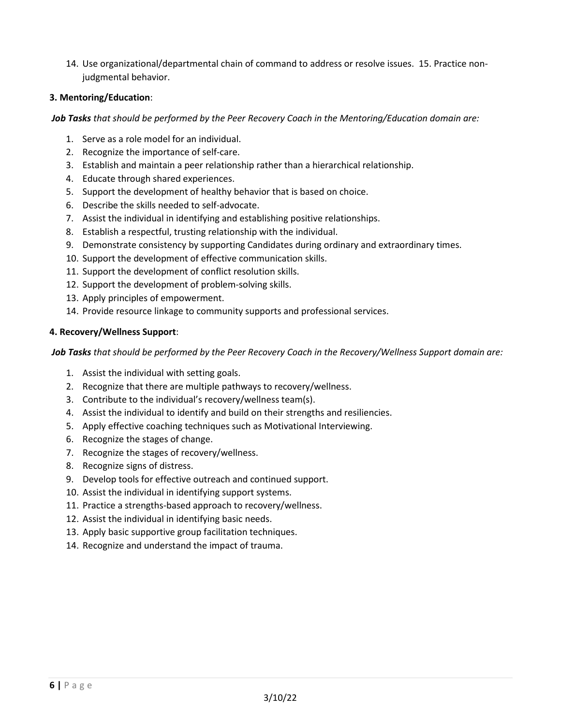14. Use organizational/departmental chain of command to address or resolve issues. 15. Practice nonjudgmental behavior.

#### **3. Mentoring/Education**:

#### *Job Tasks that should be performed by the Peer Recovery Coach in the Mentoring/Education domain are:*

- 1. Serve as a role model for an individual.
- 2. Recognize the importance of self-care.
- 3. Establish and maintain a peer relationship rather than a hierarchical relationship.
- 4. Educate through shared experiences.
- 5. Support the development of healthy behavior that is based on choice.
- 6. Describe the skills needed to self-advocate.
- 7. Assist the individual in identifying and establishing positive relationships.
- 8. Establish a respectful, trusting relationship with the individual.
- 9. Demonstrate consistency by supporting Candidates during ordinary and extraordinary times.
- 10. Support the development of effective communication skills.
- 11. Support the development of conflict resolution skills.
- 12. Support the development of problem-solving skills.
- 13. Apply principles of empowerment.
- 14. Provide resource linkage to community supports and professional services.

#### **4. Recovery/Wellness Support**:

*Job Tasks that should be performed by the Peer Recovery Coach in the Recovery/Wellness Support domain are:*

- 1. Assist the individual with setting goals.
- 2. Recognize that there are multiple pathways to recovery/wellness.
- 3. Contribute to the individual's recovery/wellness team(s).
- 4. Assist the individual to identify and build on their strengths and resiliencies.
- 5. Apply effective coaching techniques such as Motivational Interviewing.
- 6. Recognize the stages of change.
- 7. Recognize the stages of recovery/wellness.
- 8. Recognize signs of distress.
- 9. Develop tools for effective outreach and continued support.
- 10. Assist the individual in identifying support systems.
- 11. Practice a strengths-based approach to recovery/wellness.
- 12. Assist the individual in identifying basic needs.
- 13. Apply basic supportive group facilitation techniques.
- <span id="page-5-0"></span>14. Recognize and understand the impact of trauma.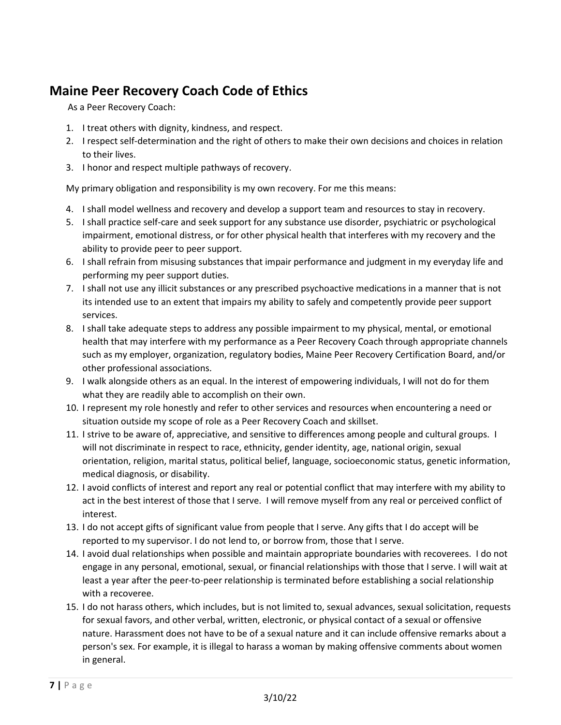## **Maine Peer Recovery Coach Code of Ethics**

As a Peer Recovery Coach:

- 1. I treat others with dignity, kindness, and respect.
- 2. I respect self-determination and the right of others to make their own decisions and choices in relation to their lives.
- 3. I honor and respect multiple pathways of recovery.

My primary obligation and responsibility is my own recovery. For me this means:

- 4. I shall model wellness and recovery and develop a support team and resources to stay in recovery.
- 5. I shall practice self-care and seek support for any substance use disorder, psychiatric or psychological impairment, emotional distress, or for other physical health that interferes with my recovery and the ability to provide peer to peer support.
- 6. I shall refrain from misusing substances that impair performance and judgment in my everyday life and performing my peer support duties.
- 7. I shall not use any illicit substances or any prescribed psychoactive medications in a manner that is not its intended use to an extent that impairs my ability to safely and competently provide peer support services.
- 8. I shall take adequate steps to address any possible impairment to my physical, mental, or emotional health that may interfere with my performance as a Peer Recovery Coach through appropriate channels such as my employer, organization, regulatory bodies, Maine Peer Recovery Certification Board, and/or other professional associations.
- 9. I walk alongside others as an equal. In the interest of empowering individuals, I will not do for them what they are readily able to accomplish on their own.
- 10. I represent my role honestly and refer to other services and resources when encountering a need or situation outside my scope of role as a Peer Recovery Coach and skillset.
- 11. I strive to be aware of, appreciative, and sensitive to differences among people and cultural groups. I will not discriminate in respect to race, ethnicity, gender identity, age, national origin, sexual orientation, religion, marital status, political belief, language, socioeconomic status, genetic information, medical diagnosis, or disability.
- 12. I avoid conflicts of interest and report any real or potential conflict that may interfere with my ability to act in the best interest of those that I serve. I will remove myself from any real or perceived conflict of interest.
- 13. I do not accept gifts of significant value from people that I serve. Any gifts that I do accept will be reported to my supervisor. I do not lend to, or borrow from, those that I serve.
- 14. I avoid dual relationships when possible and maintain appropriate boundaries with recoverees. I do not engage in any personal, emotional, sexual, or financial relationships with those that I serve. I will wait at least a year after the peer-to-peer relationship is terminated before establishing a social relationship with a recoveree.
- 15. I do not harass others, which includes, but is not limited to, sexual advances, sexual solicitation, requests for sexual favors, and other verbal, written, electronic, or physical contact of a sexual or offensive nature. Harassment does not have to be of a sexual nature and it can include offensive remarks about a person's sex. For example, it is illegal to harass a woman by making offensive comments about women in general.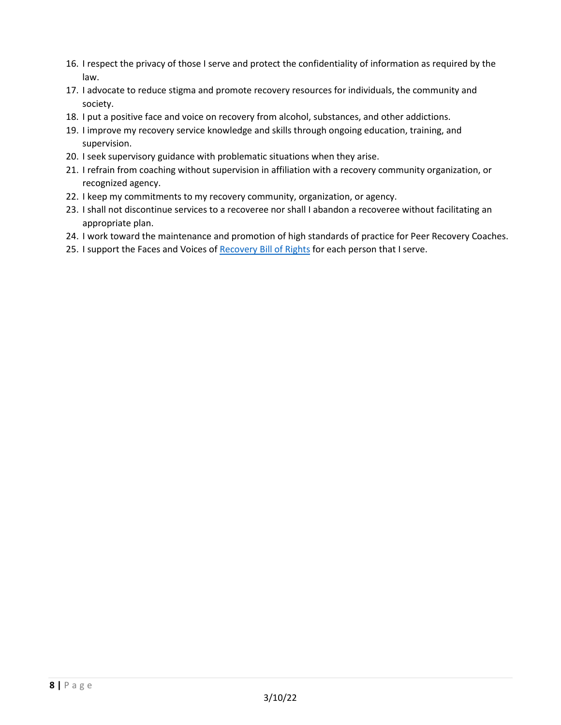- 16. I respect the privacy of those I serve and protect the confidentiality of information as required by the law.
- 17. I advocate to reduce stigma and promote recovery resources for individuals, the community and society.
- 18. I put a positive face and voice on recovery from alcohol, substances, and other addictions.
- 19. I improve my recovery service knowledge and skills through ongoing education, training, and supervision.
- 20. I seek supervisory guidance with problematic situations when they arise.
- 21. I refrain from coaching without supervision in affiliation with a recovery community organization, or recognized agency.
- 22. I keep my commitments to my recovery community, organization, or agency.
- 23. I shall not discontinue services to a recoveree nor shall I abandon a recoveree without facilitating an appropriate plan.
- 24. I work toward the maintenance and promotion of high standards of practice for Peer Recovery Coaches.
- <span id="page-7-0"></span>25. I support the Faces and Voices of [Recovery Bill of Rights](https://facesandvoicesofrecovery.org/file_download/inline/158d9cc1-9d1b-4fbc-b24a-963d1478ef73) for each person that I serve.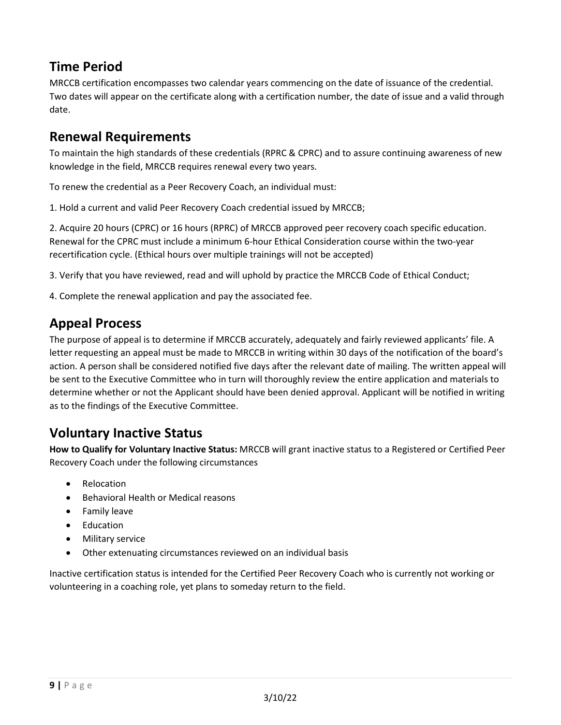## **Time Period**

MRCCB certification encompasses two calendar years commencing on the date of issuance of the credential. Two dates will appear on the certificate along with a certification number, the date of issue and a valid through date.

## <span id="page-8-0"></span>**Renewal Requirements**

To maintain the high standards of these credentials (RPRC & CPRC) and to assure continuing awareness of new knowledge in the field, MRCCB requires renewal every two years.

To renew the credential as a Peer Recovery Coach, an individual must:

1. Hold a current and valid Peer Recovery Coach credential issued by MRCCB;

2. Acquire 20 hours (CPRC) or 16 hours (RPRC) of MRCCB approved peer recovery coach specific education. Renewal for the CPRC must include a minimum 6-hour Ethical Consideration course within the two-year recertification cycle. (Ethical hours over multiple trainings will not be accepted)

3. Verify that you have reviewed, read and will uphold by practice the MRCCB Code of Ethical Conduct;

4. Complete the renewal application and pay the associated fee.

## <span id="page-8-1"></span>**Appeal Process**

The purpose of appeal is to determine if MRCCB accurately, adequately and fairly reviewed applicants' file. A letter requesting an appeal must be made to MRCCB in writing within 30 days of the notification of the board's action. A person shall be considered notified five days after the relevant date of mailing. The written appeal will be sent to the Executive Committee who in turn will thoroughly review the entire application and materials to determine whether or not the Applicant should have been denied approval. Applicant will be notified in writing as to the findings of the Executive Committee.

## <span id="page-8-2"></span>**Voluntary Inactive Status**

**How to Qualify for Voluntary Inactive Status:** MRCCB will grant inactive status to a Registered or Certified Peer Recovery Coach under the following circumstances

- **Relocation**
- Behavioral Health or Medical reasons
- Family leave
- Education
- Military service
- Other extenuating circumstances reviewed on an individual basis

Inactive certification status is intended for the Certified Peer Recovery Coach who is currently not working or volunteering in a coaching role, yet plans to someday return to the field.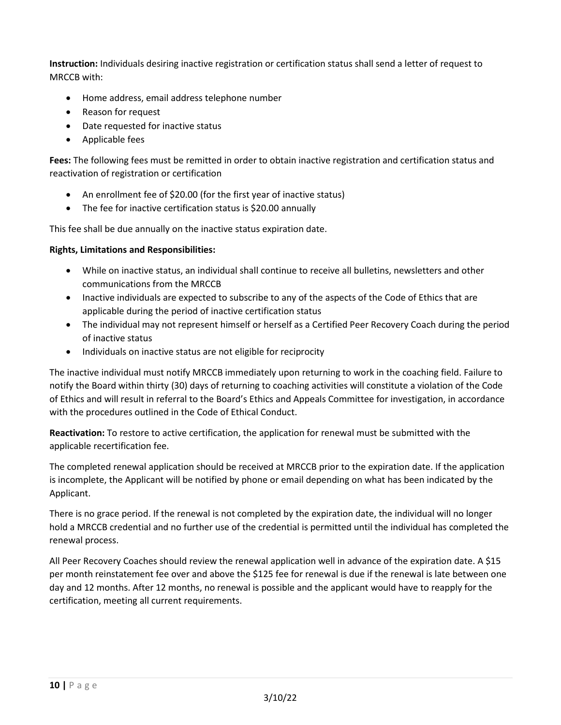**Instruction:** Individuals desiring inactive registration or certification status shall send a letter of request to MRCCB with:

- Home address, email address telephone number
- Reason for request
- Date requested for inactive status
- Applicable fees

**Fees:** The following fees must be remitted in order to obtain inactive registration and certification status and reactivation of registration or certification

- An enrollment fee of \$20.00 (for the first year of inactive status)
- The fee for inactive certification status is \$20.00 annually

This fee shall be due annually on the inactive status expiration date.

#### **Rights, Limitations and Responsibilities:**

- While on inactive status, an individual shall continue to receive all bulletins, newsletters and other communications from the MRCCB
- Inactive individuals are expected to subscribe to any of the aspects of the Code of Ethics that are applicable during the period of inactive certification status
- The individual may not represent himself or herself as a Certified Peer Recovery Coach during the period of inactive status
- Individuals on inactive status are not eligible for reciprocity

The inactive individual must notify MRCCB immediately upon returning to work in the coaching field. Failure to notify the Board within thirty (30) days of returning to coaching activities will constitute a violation of the Code of Ethics and will result in referral to the Board's Ethics and Appeals Committee for investigation, in accordance with the procedures outlined in the Code of Ethical Conduct.

**Reactivation:** To restore to active certification, the application for renewal must be submitted with the applicable recertification fee.

The completed renewal application should be received at MRCCB prior to the expiration date. If the application is incomplete, the Applicant will be notified by phone or email depending on what has been indicated by the Applicant.

There is no grace period. If the renewal is not completed by the expiration date, the individual will no longer hold a MRCCB credential and no further use of the credential is permitted until the individual has completed the renewal process.

All Peer Recovery Coaches should review the renewal application well in advance of the expiration date. A \$15 per month reinstatement fee over and above the \$125 fee for renewal is due if the renewal is late between one day and 12 months. After 12 months, no renewal is possible and the applicant would have to reapply for the certification, meeting all current requirements.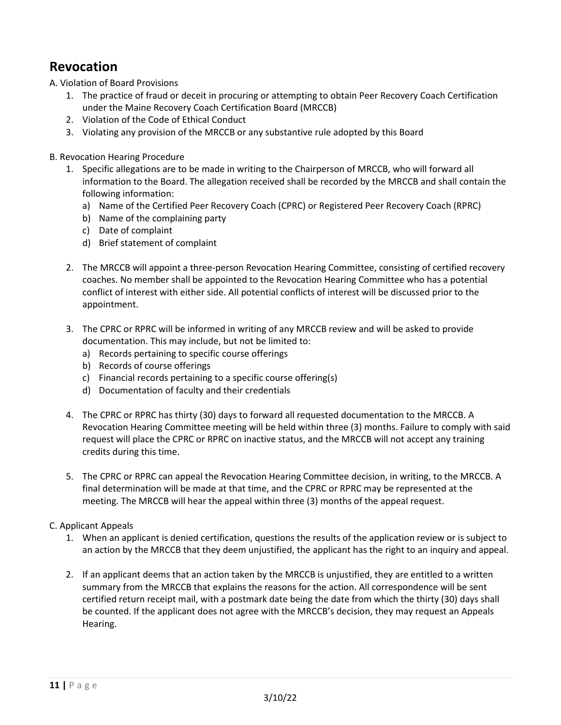## <span id="page-10-0"></span>**Revocation**

<span id="page-10-1"></span>A. Violation of Board Provisions

- 1. The practice of fraud or deceit in procuring or attempting to obtain Peer Recovery Coach Certification under the Maine Recovery Coach Certification Board (MRCCB)
- 2. Violation of the Code of Ethical Conduct
- 3. Violating any provision of the MRCCB or any substantive rule adopted by this Board

#### B. Revocation Hearing Procedure

- 1. Specific allegations are to be made in writing to the Chairperson of MRCCB, who will forward all information to the Board. The allegation received shall be recorded by the MRCCB and shall contain the following information:
	- a) Name of the Certified Peer Recovery Coach (CPRC) or Registered Peer Recovery Coach (RPRC)
	- b) Name of the complaining party
	- c) Date of complaint
	- d) Brief statement of complaint
- 2. The MRCCB will appoint a three-person Revocation Hearing Committee, consisting of certified recovery coaches. No member shall be appointed to the Revocation Hearing Committee who has a potential conflict of interest with either side. All potential conflicts of interest will be discussed prior to the appointment.
- 3. The CPRC or RPRC will be informed in writing of any MRCCB review and will be asked to provide documentation. This may include, but not be limited to:
	- a) Records pertaining to specific course offerings
	- b) Records of course offerings
	- c) Financial records pertaining to a specific course offering(s)
	- d) Documentation of faculty and their credentials
- 4. The CPRC or RPRC has thirty (30) days to forward all requested documentation to the MRCCB. A Revocation Hearing Committee meeting will be held within three (3) months. Failure to comply with said request will place the CPRC or RPRC on inactive status, and the MRCCB will not accept any training credits during this time.
- 5. The CPRC or RPRC can appeal the Revocation Hearing Committee decision, in writing, to the MRCCB. A final determination will be made at that time, and the CPRC or RPRC may be represented at the meeting. The MRCCB will hear the appeal within three (3) months of the appeal request.

#### C. Applicant Appeals

- 1. When an applicant is denied certification, questions the results of the application review or is subject to an action by the MRCCB that they deem unjustified, the applicant has the right to an inquiry and appeal.
- 2. If an applicant deems that an action taken by the MRCCB is unjustified, they are entitled to a written summary from the MRCCB that explains the reasons for the action. All correspondence will be sent certified return receipt mail, with a postmark date being the date from which the thirty (30) days shall be counted. If the applicant does not agree with the MRCCB's decision, they may request an Appeals Hearing.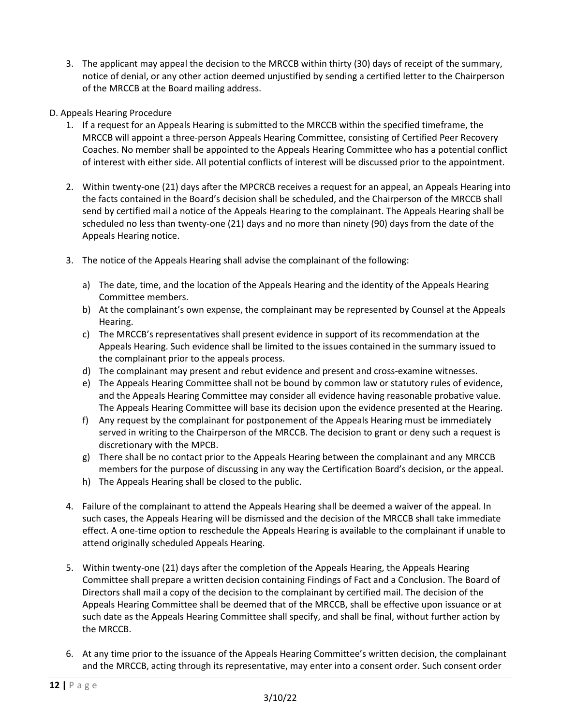- 3. The applicant may appeal the decision to the MRCCB within thirty (30) days of receipt of the summary, notice of denial, or any other action deemed unjustified by sending a certified letter to the Chairperson of the MRCCB at the Board mailing address.
- D. Appeals Hearing Procedure
	- 1. If a request for an Appeals Hearing is submitted to the MRCCB within the specified timeframe, the MRCCB will appoint a three-person Appeals Hearing Committee, consisting of Certified Peer Recovery Coaches. No member shall be appointed to the Appeals Hearing Committee who has a potential conflict of interest with either side. All potential conflicts of interest will be discussed prior to the appointment.
	- 2. Within twenty-one (21) days after the MPCRCB receives a request for an appeal, an Appeals Hearing into the facts contained in the Board's decision shall be scheduled, and the Chairperson of the MRCCB shall send by certified mail a notice of the Appeals Hearing to the complainant. The Appeals Hearing shall be scheduled no less than twenty-one (21) days and no more than ninety (90) days from the date of the Appeals Hearing notice.
	- 3. The notice of the Appeals Hearing shall advise the complainant of the following:
		- a) The date, time, and the location of the Appeals Hearing and the identity of the Appeals Hearing Committee members.
		- b) At the complainant's own expense, the complainant may be represented by Counsel at the Appeals Hearing.
		- c) The MRCCB's representatives shall present evidence in support of its recommendation at the Appeals Hearing. Such evidence shall be limited to the issues contained in the summary issued to the complainant prior to the appeals process.
		- d) The complainant may present and rebut evidence and present and cross-examine witnesses.
		- e) The Appeals Hearing Committee shall not be bound by common law or statutory rules of evidence, and the Appeals Hearing Committee may consider all evidence having reasonable probative value. The Appeals Hearing Committee will base its decision upon the evidence presented at the Hearing.
		- f) Any request by the complainant for postponement of the Appeals Hearing must be immediately served in writing to the Chairperson of the MRCCB. The decision to grant or deny such a request is discretionary with the MPCB.
		- g) There shall be no contact prior to the Appeals Hearing between the complainant and any MRCCB members for the purpose of discussing in any way the Certification Board's decision, or the appeal.
		- h) The Appeals Hearing shall be closed to the public.
	- 4. Failure of the complainant to attend the Appeals Hearing shall be deemed a waiver of the appeal. In such cases, the Appeals Hearing will be dismissed and the decision of the MRCCB shall take immediate effect. A one-time option to reschedule the Appeals Hearing is available to the complainant if unable to attend originally scheduled Appeals Hearing.
	- 5. Within twenty-one (21) days after the completion of the Appeals Hearing, the Appeals Hearing Committee shall prepare a written decision containing Findings of Fact and a Conclusion. The Board of Directors shall mail a copy of the decision to the complainant by certified mail. The decision of the Appeals Hearing Committee shall be deemed that of the MRCCB, shall be effective upon issuance or at such date as the Appeals Hearing Committee shall specify, and shall be final, without further action by the MRCCB.
	- 6. At any time prior to the issuance of the Appeals Hearing Committee's written decision, the complainant and the MRCCB, acting through its representative, may enter into a consent order. Such consent order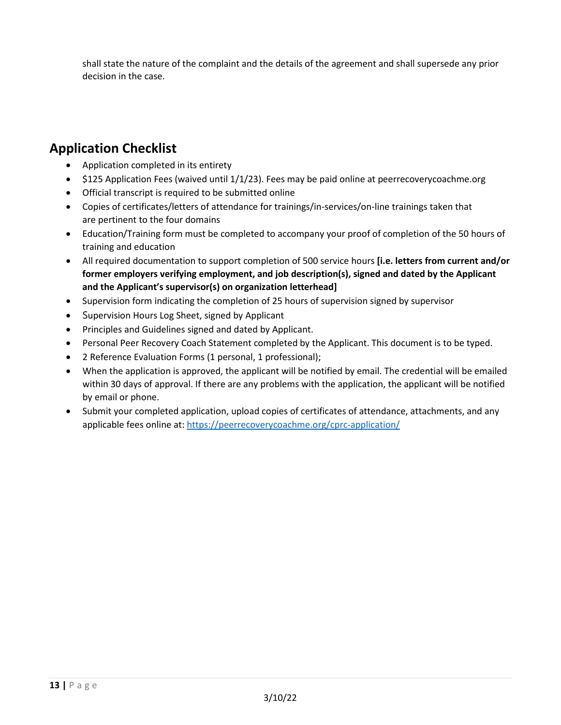shall state the nature of the complaint and the details of the agreement and shall supersede any prior decision in the case.

## **Application Checklist**

- Application completed in its entirety
- \$125 Application Fees (waived until 1/1/23). Fees may be paid online at peerrecoverycoachme.org
- Official transcript is required to be submitted online
- Copies of certificates/letters of attendance for trainings/in-services/on-line trainings taken that are pertinent to the four domains
- Education/Training form must be completed to accompany your proof of completion of the 50 hours of training and education
- All required documentation to support completion of 500 service hours **[i.e. letters from current and/or former employers verifying employment, and job description(s), signed and dated by the Applicant and the Applicant's supervisor(s) on organization letterhead]**
- Supervision form indicating the completion of 25 hours of supervision signed by supervisor
- Supervision Hours Log Sheet, signed by Applicant
- Principles and Guidelines signed and dated by Applicant.
- Personal Peer Recovery Coach Statement completed by the Applicant. This document is to be typed.
- 2 Reference Evaluation Forms (1 personal, 1 professional);
- When the application is approved, the applicant will be notified by email. The credential will be emailed within 30 days of approval. If there are any problems with the application, the applicant will be notified by email or phone.
- Submit your completed application, upload copies of certificates of attendance, attachments, and any applicable fees online at:<https://peerrecoverycoachme.org/cprc-application/>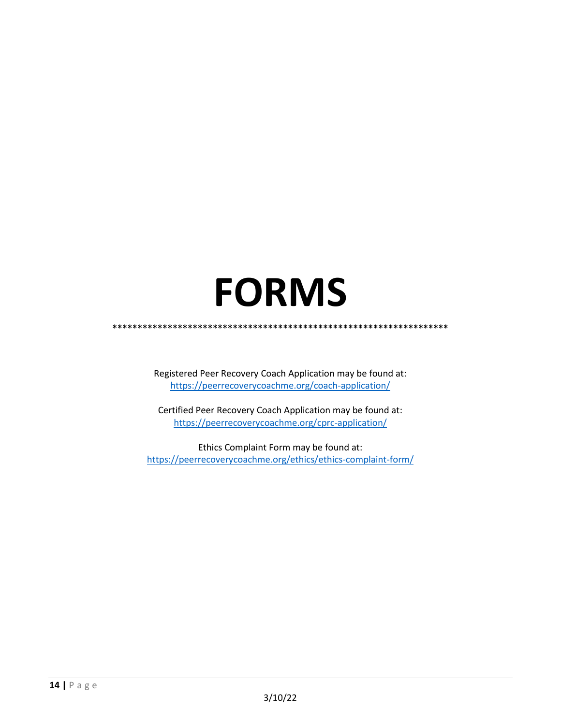# **FORMS**

<span id="page-13-0"></span>**\*\*\*\*\*\*\*\*\*\*\*\*\*\*\*\*\*\*\*\*\*\*\*\*\*\*\*\*\*\*\*\*\*\*\*\*\*\*\*\*\*\*\*\*\*\*\*\*\*\*\*\*\*\*\*\*\*\*\*\*\*\*\*\*\*\*\***

Registered Peer Recovery Coach Application may be found at: <https://peerrecoverycoachme.org/coach-application/>

Certified Peer Recovery Coach Application may be found at: <https://peerrecoverycoachme.org/cprc-application/>

Ethics Complaint Form may be found at: <https://peerrecoverycoachme.org/ethics/ethics-complaint-form/>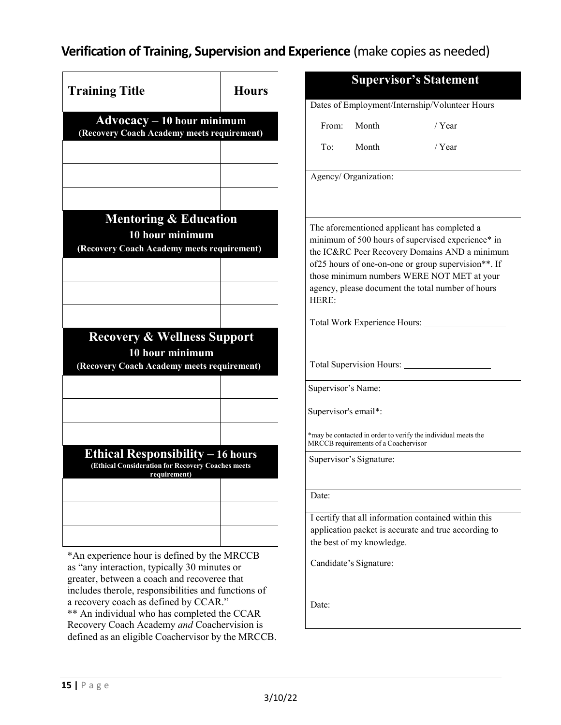## **Verification of Training, Supervision and Experience** (make copies as needed)

|                                                                                                               |              |                                      | <b>Supervisor's Statement</b>                                                                   |  |  |
|---------------------------------------------------------------------------------------------------------------|--------------|--------------------------------------|-------------------------------------------------------------------------------------------------|--|--|
| <b>Training Title</b>                                                                                         | <b>Hours</b> |                                      |                                                                                                 |  |  |
|                                                                                                               |              |                                      | Dates of Employment/Internship/Volunteer Hours                                                  |  |  |
| $Advocacy - 10 hour minimum$<br>(Recovery Coach Academy meets requirement)                                    |              | From:<br>Month                       | / $Year$                                                                                        |  |  |
|                                                                                                               |              | Month<br>To:                         | $/$ Year                                                                                        |  |  |
|                                                                                                               |              | Agency/ Organization:                |                                                                                                 |  |  |
| <b>Mentoring &amp; Education</b>                                                                              |              |                                      | The aforementioned applicant has completed a                                                    |  |  |
| 10 hour minimum                                                                                               |              |                                      | minimum of 500 hours of supervised experience* in                                               |  |  |
| (Recovery Coach Academy meets requirement)                                                                    |              |                                      | the IC&RC Peer Recovery Domains AND a minimum                                                   |  |  |
|                                                                                                               |              |                                      | of 25 hours of one-on-one or group supervision**. If                                            |  |  |
|                                                                                                               |              |                                      | those minimum numbers WERE NOT MET at your<br>agency, please document the total number of hours |  |  |
|                                                                                                               |              | HERE:                                |                                                                                                 |  |  |
|                                                                                                               |              |                                      | Total Work Experience Hours: __________                                                         |  |  |
| <b>Recovery &amp; Wellness Support</b>                                                                        |              |                                      |                                                                                                 |  |  |
| 10 hour minimum                                                                                               |              |                                      |                                                                                                 |  |  |
| (Recovery Coach Academy meets requirement)                                                                    |              | Total Supervision Hours: ___________ |                                                                                                 |  |  |
|                                                                                                               |              | Supervisor's Name:                   |                                                                                                 |  |  |
|                                                                                                               |              |                                      |                                                                                                 |  |  |
|                                                                                                               |              | Supervisor's email*:                 |                                                                                                 |  |  |
|                                                                                                               |              | MRCCB requirements of a Coachervisor | *may be contacted in order to verify the individual meets the                                   |  |  |
| <b>Ethical Responsibility - 16 hours</b><br>(Ethical Consideration for Recovery Coaches meets<br>requirement) |              | Supervisor's Signature:              |                                                                                                 |  |  |
|                                                                                                               |              | Date:                                |                                                                                                 |  |  |
|                                                                                                               |              |                                      | I certify that all information contained within this                                            |  |  |
|                                                                                                               |              |                                      | application packet is accurate and true according to                                            |  |  |
|                                                                                                               |              | the best of my knowledge.            |                                                                                                 |  |  |
| *An experience hour is defined by the MRCCB<br>as "any interaction, typically 30 minutes or                   |              | Candidate's Signature:               |                                                                                                 |  |  |
| greater, between a coach and recoveree that                                                                   |              |                                      |                                                                                                 |  |  |
| includes therole, responsibilities and functions of                                                           |              |                                      |                                                                                                 |  |  |
| a recovery coach as defined by CCAR."                                                                         |              | Date:                                |                                                                                                 |  |  |
| ** An individual who has completed the CCAR<br>Recovery Coach Academy and Coachervision is                    |              |                                      |                                                                                                 |  |  |
| defined as an eligible Coachervisor by the MRCCB.                                                             |              |                                      |                                                                                                 |  |  |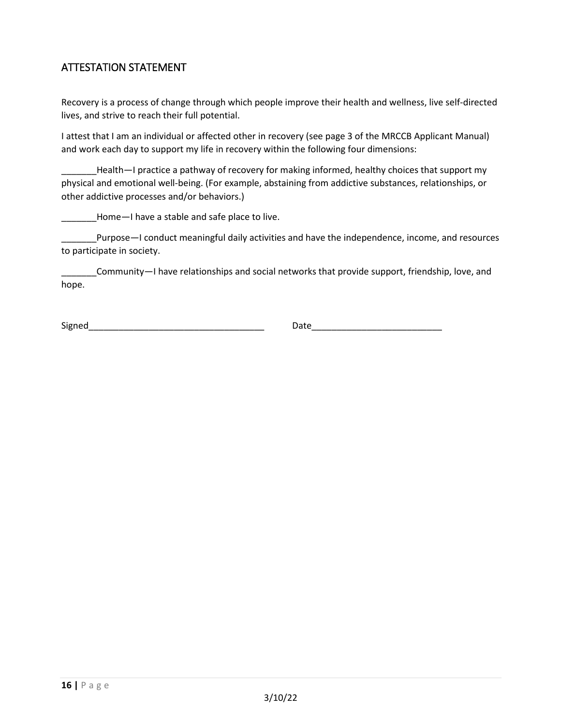### ATTESTATION STATEMENT

Recovery is a process of change through which people improve their health and wellness, live self-directed lives, and strive to reach their full potential.

I attest that I am an individual or affected other in recovery (see page 3 of the MRCCB Applicant Manual) and work each day to support my life in recovery within the following four dimensions:

Health—I practice a pathway of recovery for making informed, healthy choices that support my physical and emotional well-being. (For example, abstaining from addictive substances, relationships, or other addictive processes and/or behaviors.)

Home—I have a stable and safe place to live.

\_\_\_\_\_\_\_Purpose—I conduct meaningful daily activities and have the independence, income, and resources to participate in society.

\_\_\_\_\_\_\_Community—I have relationships and social networks that provide support, friendship, love, and hope.

Signed\_\_\_\_\_\_\_\_\_\_\_\_\_\_\_\_\_\_\_\_\_\_\_\_\_\_\_\_\_\_\_\_\_\_\_ Date\_\_\_\_\_\_\_\_\_\_\_\_\_\_\_\_\_\_\_\_\_\_\_\_\_\_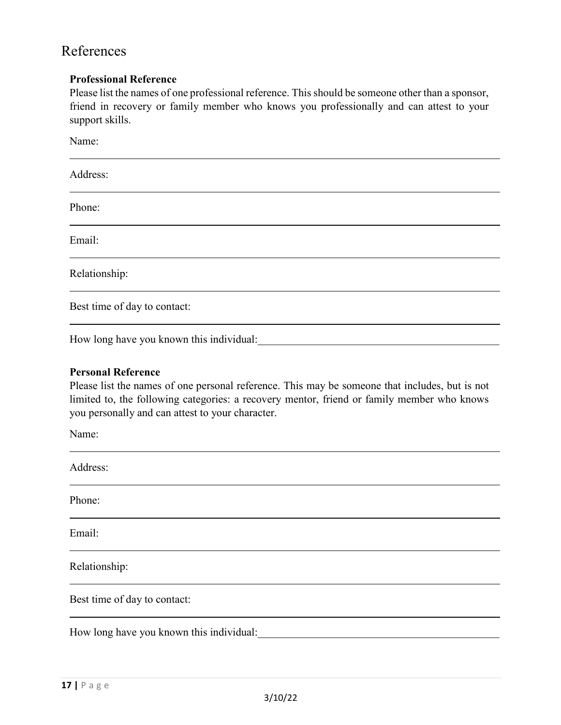## References

#### **Professional Reference**

Please list the names of one professional reference. This should be someone other than a sponsor, friend in recovery or family member who knows you professionally and can attest to your support skills.

| Name:                        |  |
|------------------------------|--|
| Address:                     |  |
| Phone:                       |  |
| Email:                       |  |
| Relationship:                |  |
| Best time of day to contact: |  |

How long have you known this individual:

#### **Personal Reference**

Please list the names of one personal reference. This may be someone that includes, but is not limited to, the following categories: a recovery mentor, friend or family member who knows you personally and can attest to your character.

Name:

| Address:                                 |  |
|------------------------------------------|--|
| Phone:                                   |  |
| Email:                                   |  |
| Relationship:                            |  |
| Best time of day to contact:             |  |
| How long have you known this individual: |  |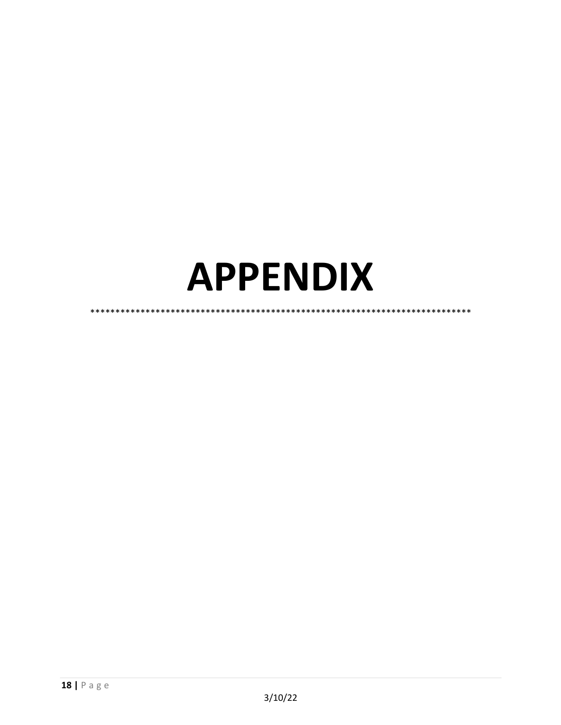## <span id="page-17-0"></span>**APPENDIX**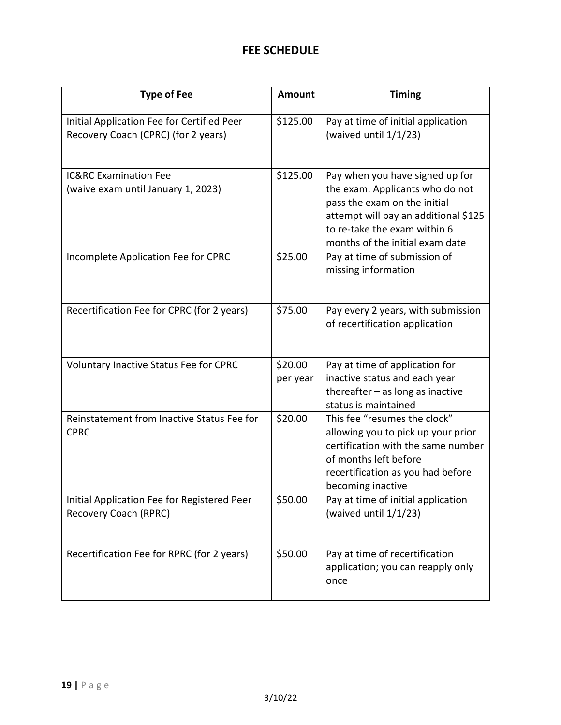## **FEE SCHEDULE**

<span id="page-18-0"></span>

| <b>Type of Fee</b>                                                                | <b>Amount</b>       | <b>Timing</b>                                                                                                                                                                                                 |
|-----------------------------------------------------------------------------------|---------------------|---------------------------------------------------------------------------------------------------------------------------------------------------------------------------------------------------------------|
| Initial Application Fee for Certified Peer<br>Recovery Coach (CPRC) (for 2 years) | \$125.00            | Pay at time of initial application<br>(waived until $1/1/23$ )                                                                                                                                                |
| <b>IC&amp;RC Examination Fee</b><br>(waive exam until January 1, 2023)            | \$125.00            | Pay when you have signed up for<br>the exam. Applicants who do not<br>pass the exam on the initial<br>attempt will pay an additional \$125<br>to re-take the exam within 6<br>months of the initial exam date |
| Incomplete Application Fee for CPRC                                               | \$25.00             | Pay at time of submission of<br>missing information                                                                                                                                                           |
| Recertification Fee for CPRC (for 2 years)                                        | \$75.00             | Pay every 2 years, with submission<br>of recertification application                                                                                                                                          |
| Voluntary Inactive Status Fee for CPRC                                            | \$20.00<br>per year | Pay at time of application for<br>inactive status and each year<br>thereafter $-$ as long as inactive<br>status is maintained                                                                                 |
| Reinstatement from Inactive Status Fee for<br><b>CPRC</b>                         | \$20.00             | This fee "resumes the clock"<br>allowing you to pick up your prior<br>certification with the same number<br>of months left before<br>recertification as you had before<br>becoming inactive                   |
| Initial Application Fee for Registered Peer<br>Recovery Coach (RPRC)              | \$50.00             | Pay at time of initial application<br>(waived until 1/1/23)                                                                                                                                                   |
| Recertification Fee for RPRC (for 2 years)                                        | \$50.00             | Pay at time of recertification<br>application; you can reapply only<br>once                                                                                                                                   |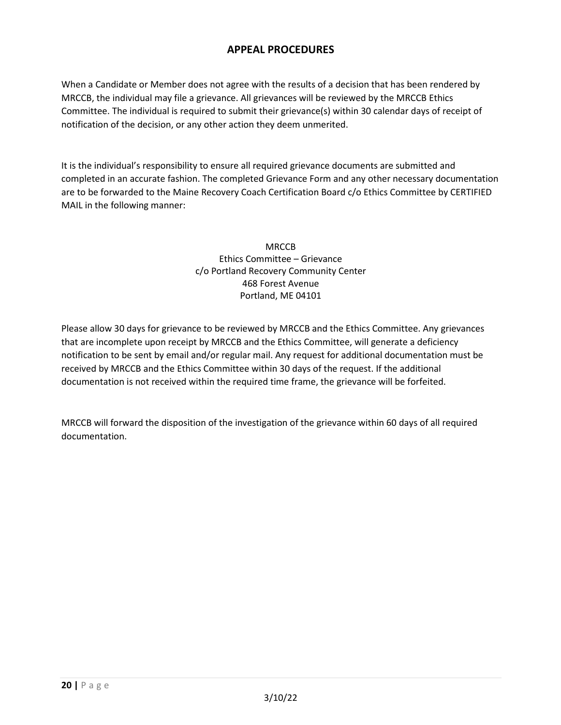#### **APPEAL PROCEDURES**

When a Candidate or Member does not agree with the results of a decision that has been rendered by MRCCB, the individual may file a grievance. All grievances will be reviewed by the MRCCB Ethics Committee. The individual is required to submit their grievance(s) within 30 calendar days of receipt of notification of the decision, or any other action they deem unmerited.

It is the individual's responsibility to ensure all required grievance documents are submitted and completed in an accurate fashion. The completed Grievance Form and any other necessary documentation are to be forwarded to the Maine Recovery Coach Certification Board c/o Ethics Committee by CERTIFIED MAIL in the following manner:

> MRCCB Ethics Committee – Grievance c/o Portland Recovery Community Center 468 Forest Avenue Portland, ME 04101

Please allow 30 days for grievance to be reviewed by MRCCB and the Ethics Committee. Any grievances that are incomplete upon receipt by MRCCB and the Ethics Committee, will generate a deficiency notification to be sent by email and/or regular mail. Any request for additional documentation must be received by MRCCB and the Ethics Committee within 30 days of the request. If the additional documentation is not received within the required time frame, the grievance will be forfeited.

MRCCB will forward the disposition of the investigation of the grievance within 60 days of all required documentation.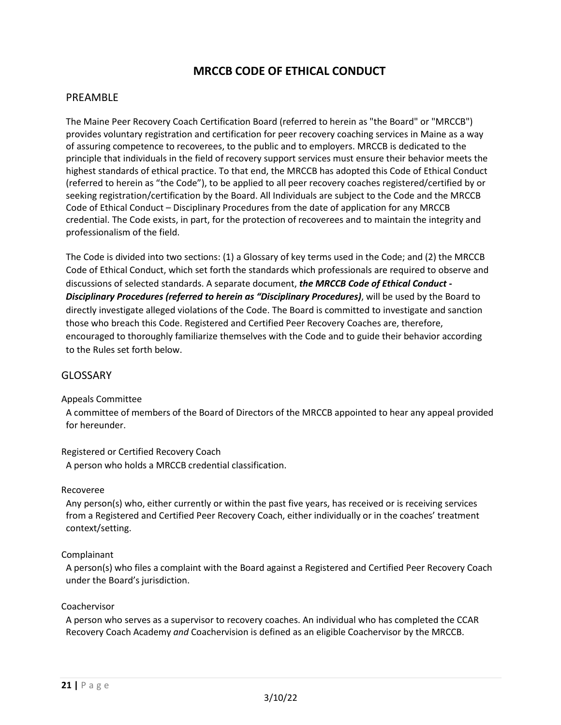#### **MRCCB CODE OF ETHICAL CONDUCT**

#### PREAMBLE

The Maine Peer Recovery Coach Certification Board (referred to herein as "the Board" or "MRCCB") provides voluntary registration and certification for peer recovery coaching services in Maine as a way of assuring competence to recoverees, to the public and to employers. MRCCB is dedicated to the principle that individuals in the field of recovery support services must ensure their behavior meets the highest standards of ethical practice. To that end, the MRCCB has adopted this Code of Ethical Conduct (referred to herein as "the Code"), to be applied to all peer recovery coaches registered/certified by or seeking registration/certification by the Board. All Individuals are subject to the Code and the MRCCB Code of Ethical Conduct – Disciplinary Procedures from the date of application for any MRCCB credential. The Code exists, in part, for the protection of recoverees and to maintain the integrity and professionalism of the field.

The Code is divided into two sections: (1) a Glossary of key terms used in the Code; and (2) the MRCCB Code of Ethical Conduct, which set forth the standards which professionals are required to observe and discussions of selected standards. A separate document, *the MRCCB Code of Ethical Conduct - Disciplinary Procedures (referred to herein as "Disciplinary Procedures)*, will be used by the Board to directly investigate alleged violations of the Code. The Board is committed to investigate and sanction those who breach this Code. Registered and Certified Peer Recovery Coaches are, therefore, encouraged to thoroughly familiarize themselves with the Code and to guide their behavior according to the Rules set forth below.

#### GLOSSARY

#### Appeals Committee

A committee of members of the Board of Directors of the MRCCB appointed to hear any appeal provided for hereunder.

#### Registered or Certified Recovery Coach

A person who holds a MRCCB credential classification.

#### Recoveree

Any person(s) who, either currently or within the past five years, has received or is receiving services from a Registered and Certified Peer Recovery Coach, either individually or in the coaches' treatment context/setting.

#### Complainant

A person(s) who files a complaint with the Board against a Registered and Certified Peer Recovery Coach under the Board's jurisdiction.

#### Coachervisor

A person who serves as a supervisor to recovery coaches. An individual who has completed the CCAR Recovery Coach Academy *and* Coachervision is defined as an eligible Coachervisor by the MRCCB.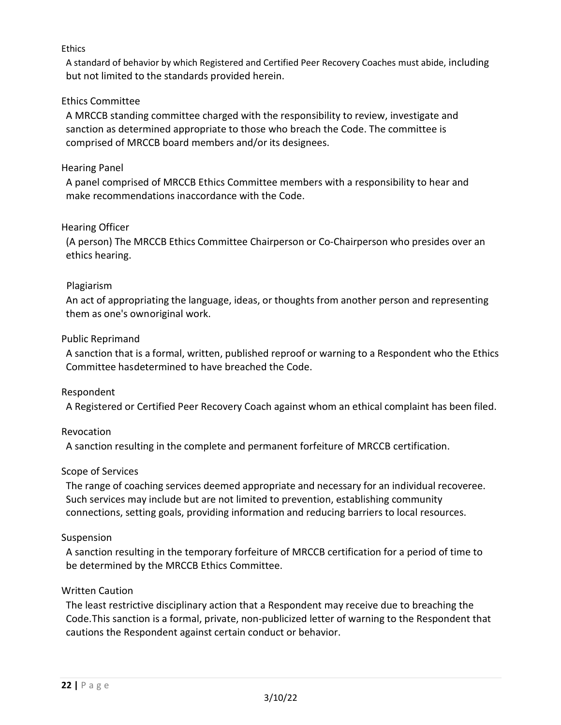#### **Ethics**

A standard of behavior by which Registered and Certified Peer Recovery Coaches must abide, including but not limited to the standards provided herein.

#### Ethics Committee

A MRCCB standing committee charged with the responsibility to review, investigate and sanction as determined appropriate to those who breach the Code. The committee is comprised of MRCCB board members and/or its designees.

#### Hearing Panel

A panel comprised of MRCCB Ethics Committee members with a responsibility to hear and make recommendations inaccordance with the Code.

#### Hearing Officer

(A person) The MRCCB Ethics Committee Chairperson or Co-Chairperson who presides over an ethics hearing.

#### Plagiarism

An act of appropriating the language, ideas, or thoughts from another person and representing them as one's ownoriginal work.

#### Public Reprimand

A sanction that is a formal, written, published reproof or warning to a Respondent who the Ethics Committee hasdetermined to have breached the Code.

#### Respondent

A Registered or Certified Peer Recovery Coach against whom an ethical complaint has been filed.

#### Revocation

A sanction resulting in the complete and permanent forfeiture of MRCCB certification.

#### Scope of Services

The range of coaching services deemed appropriate and necessary for an individual recoveree. Such services may include but are not limited to prevention, establishing community connections, setting goals, providing information and reducing barriers to local resources.

#### Suspension

A sanction resulting in the temporary forfeiture of MRCCB certification for a period of time to be determined by the MRCCB Ethics Committee.

#### Written Caution

The least restrictive disciplinary action that a Respondent may receive due to breaching the Code.This sanction is a formal, private, non-publicized letter of warning to the Respondent that cautions the Respondent against certain conduct or behavior.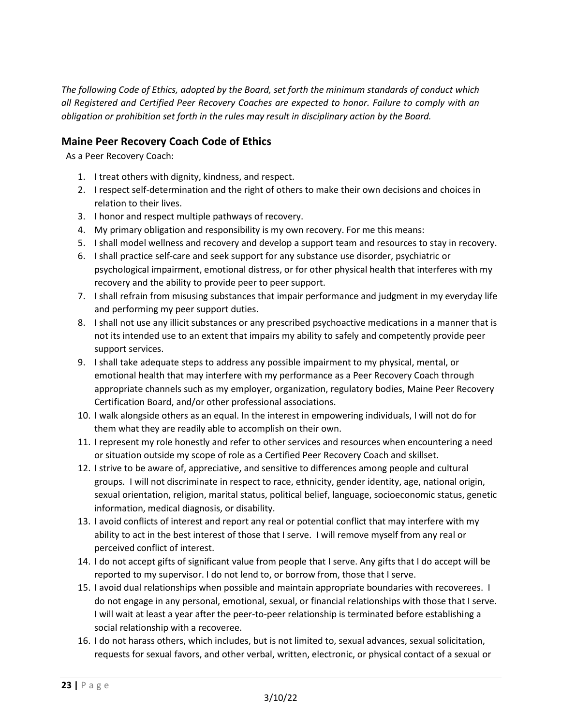*The following Code of Ethics, adopted by the Board, set forth the minimum standards of conduct which all Registered and Certified Peer Recovery Coaches are expected to honor. Failure to comply with an obligation or prohibition set forth in the rules may result in disciplinary action by the Board.*

#### **Maine Peer Recovery Coach Code of Ethics**

As a Peer Recovery Coach:

- 1. I treat others with dignity, kindness, and respect.
- 2. I respect self-determination and the right of others to make their own decisions and choices in relation to their lives.
- 3. I honor and respect multiple pathways of recovery.
- 4. My primary obligation and responsibility is my own recovery. For me this means:
- 5. I shall model wellness and recovery and develop a support team and resources to stay in recovery.
- 6. I shall practice self-care and seek support for any substance use disorder, psychiatric or psychological impairment, emotional distress, or for other physical health that interferes with my recovery and the ability to provide peer to peer support.
- 7. I shall refrain from misusing substances that impair performance and judgment in my everyday life and performing my peer support duties.
- 8. I shall not use any illicit substances or any prescribed psychoactive medications in a manner that is not its intended use to an extent that impairs my ability to safely and competently provide peer support services.
- 9. I shall take adequate steps to address any possible impairment to my physical, mental, or emotional health that may interfere with my performance as a Peer Recovery Coach through appropriate channels such as my employer, organization, regulatory bodies, Maine Peer Recovery Certification Board, and/or other professional associations.
- 10. I walk alongside others as an equal. In the interest in empowering individuals, I will not do for them what they are readily able to accomplish on their own.
- 11. I represent my role honestly and refer to other services and resources when encountering a need or situation outside my scope of role as a Certified Peer Recovery Coach and skillset.
- 12. I strive to be aware of, appreciative, and sensitive to differences among people and cultural groups. I will not discriminate in respect to race, ethnicity, gender identity, age, national origin, sexual orientation, religion, marital status, political belief, language, socioeconomic status, genetic information, medical diagnosis, or disability.
- 13. I avoid conflicts of interest and report any real or potential conflict that may interfere with my ability to act in the best interest of those that I serve. I will remove myself from any real or perceived conflict of interest.
- 14. I do not accept gifts of significant value from people that I serve. Any gifts that I do accept will be reported to my supervisor. I do not lend to, or borrow from, those that I serve.
- 15. I avoid dual relationships when possible and maintain appropriate boundaries with recoverees. I do not engage in any personal, emotional, sexual, or financial relationships with those that I serve. I will wait at least a year after the peer-to-peer relationship is terminated before establishing a social relationship with a recoveree.
- 16. I do not harass others, which includes, but is not limited to, sexual advances, sexual solicitation, requests for sexual favors, and other verbal, written, electronic, or physical contact of a sexual or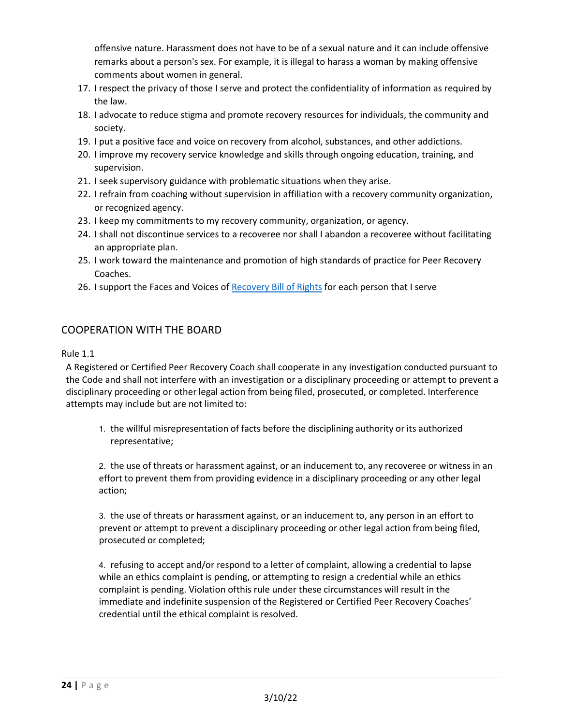offensive nature. Harassment does not have to be of a sexual nature and it can include offensive remarks about a person's sex. For example, it is illegal to harass a woman by making offensive comments about women in general.

- 17. I respect the privacy of those I serve and protect the confidentiality of information as required by the law.
- 18. I advocate to reduce stigma and promote recovery resources for individuals, the community and society.
- 19. I put a positive face and voice on recovery from alcohol, substances, and other addictions.
- 20. I improve my recovery service knowledge and skills through ongoing education, training, and supervision.
- 21. I seek supervisory guidance with problematic situations when they arise.
- 22. I refrain from coaching without supervision in affiliation with a recovery community organization, or recognized agency.
- 23. I keep my commitments to my recovery community, organization, or agency.
- 24. I shall not discontinue services to a recoveree nor shall I abandon a recoveree without facilitating an appropriate plan.
- 25. I work toward the maintenance and promotion of high standards of practice for Peer Recovery Coaches.
- 26. I support the Faces and Voices of [Recovery Bill of Rights](https://facesandvoicesofrecovery.org/file_download/inline/158d9cc1-9d1b-4fbc-b24a-963d1478ef73) for each person that I serve

#### COOPERATION WITH THE BOARD

#### Rule 1.1

A Registered or Certified Peer Recovery Coach shall cooperate in any investigation conducted pursuant to the Code and shall not interfere with an investigation or a disciplinary proceeding or attempt to prevent a disciplinary proceeding or other legal action from being filed, prosecuted, or completed. Interference attempts may include but are not limited to:

1. the willful misrepresentation of facts before the disciplining authority or its authorized representative;

2. the use of threats or harassment against, or an inducement to, any recoveree or witness in an effort to prevent them from providing evidence in a disciplinary proceeding or any other legal action;

3. the use of threats or harassment against, or an inducement to, any person in an effort to prevent or attempt to prevent a disciplinary proceeding or other legal action from being filed, prosecuted or completed;

4. refusing to accept and/or respond to a letter of complaint, allowing a credential to lapse while an ethics complaint is pending, or attempting to resign a credential while an ethics complaint is pending. Violation ofthis rule under these circumstances will result in the immediate and indefinite suspension of the Registered or Certified Peer Recovery Coaches' credential until the ethical complaint is resolved.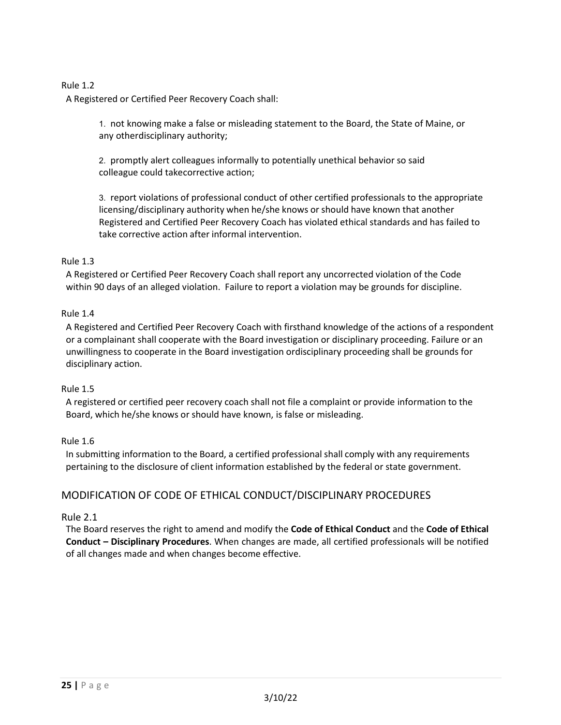#### Rule 1.2

A Registered or Certified Peer Recovery Coach shall:

1. not knowing make a false or misleading statement to the Board, the State of Maine, or any otherdisciplinary authority;

2. promptly alert colleagues informally to potentially unethical behavior so said colleague could takecorrective action;

3. report violations of professional conduct of other certified professionals to the appropriate licensing/disciplinary authority when he/she knows orshould have known that another Registered and Certified Peer Recovery Coach has violated ethical standards and has failed to take corrective action after informal intervention.

#### Rule 1.3

A Registered or Certified Peer Recovery Coach shall report any uncorrected violation of the Code within 90 days of an alleged violation. Failure to report a violation may be grounds for discipline.

#### Rule 1.4

A Registered and Certified Peer Recovery Coach with firsthand knowledge of the actions of a respondent or a complainant shall cooperate with the Board investigation or disciplinary proceeding. Failure or an unwillingness to cooperate in the Board investigation ordisciplinary proceeding shall be grounds for disciplinary action.

#### Rule 1.5

A registered or certified peer recovery coach shall not file a complaint or provide information to the Board, which he/she knows or should have known, is false or misleading.

#### Rule 1.6

In submitting information to the Board, a certified professional shall comply with any requirements pertaining to the disclosure of client information established by the federal or state government.

#### MODIFICATION OF CODE OF ETHICAL CONDUCT/DISCIPLINARY PROCEDURES

#### Rule 2.1

The Board reserves the right to amend and modify the **Code of Ethical Conduct** and the **Code of Ethical Conduct – Disciplinary Procedures**. When changes are made, all certified professionals will be notified of all changes made and when changes become effective.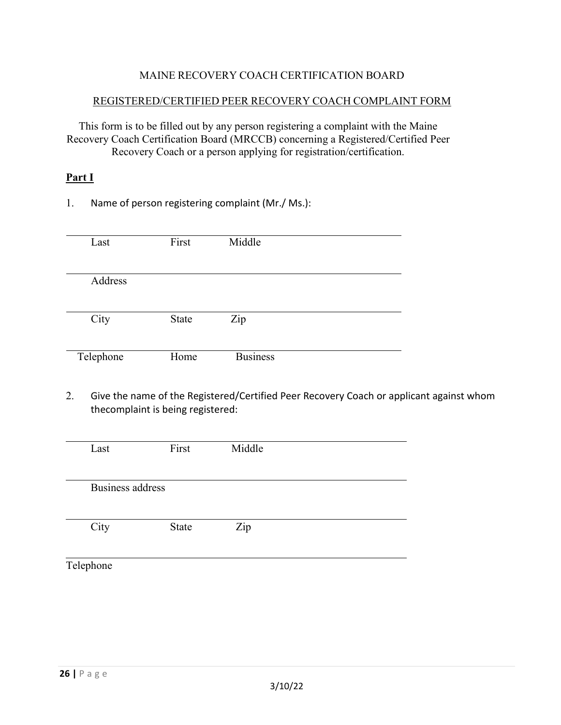#### MAINE RECOVERY COACH CERTIFICATION BOARD

#### REGISTERED/CERTIFIED PEER RECOVERY COACH COMPLAINT FORM

This form is to be filled out by any person registering a complaint with the Maine Recovery Coach Certification Board (MRCCB) concerning a Registered/Certified Peer Recovery Coach or a person applying for registration/certification.

#### **Part I**

1. Name of person registering complaint (Mr./ Ms.):

| Last      | First        | Middle          |  |
|-----------|--------------|-----------------|--|
|           |              |                 |  |
| Address   |              |                 |  |
|           |              |                 |  |
| City      | <b>State</b> | Zip             |  |
|           |              |                 |  |
| Telephone | Home         | <b>Business</b> |  |

2. Give the name of the Registered/Certified Peer Recovery Coach or applicant against whom thecomplaint is being registered:

| Last             | First        | Middle |  |
|------------------|--------------|--------|--|
| Business address |              |        |  |
| City             | <b>State</b> | Zip    |  |
| Telephone        |              |        |  |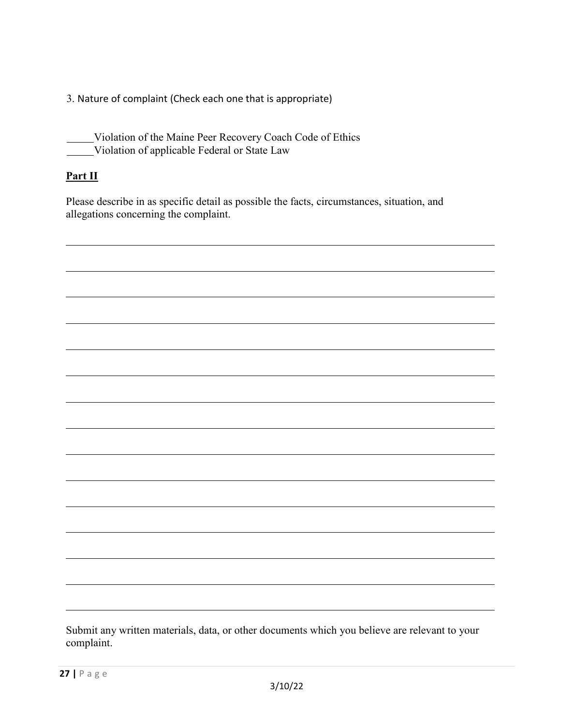3. Nature of complaint (Check each one that is appropriate)

Violation of the Maine Peer Recovery Coach Code of Ethics Violation of applicable Federal or State Law

#### **Part II**

Please describe in as specific detail as possible the facts, circumstances, situation, and allegations concerning the complaint.

Submit any written materials, data, or other documents which you believe are relevant to your complaint.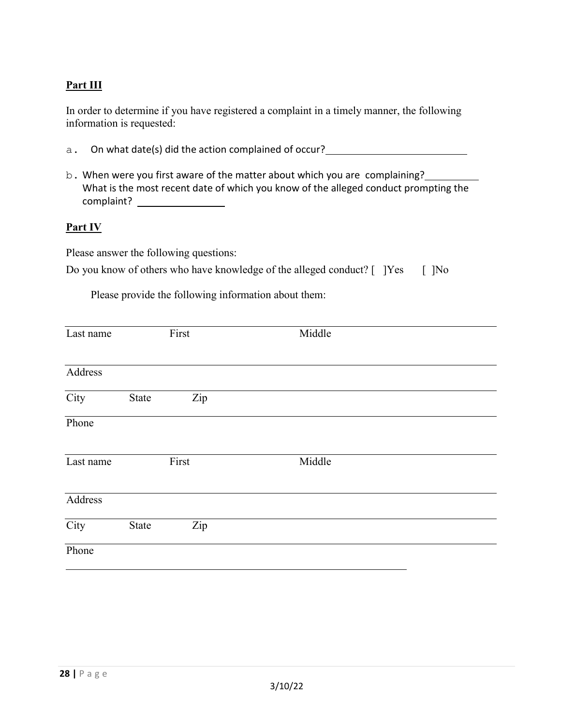#### **Part III**

In order to determine if you have registered a complaint in a timely manner, the following information is requested:

- a. On what date(s) did the action complained of occur?
- b. When were you first aware of the matter about which you are complaining? What is the most recent date of which you know of the alleged conduct prompting the complaint?

#### **Part IV**

Please answer the following questions:

|  |  | Do you know of others who have knowledge of the alleged conduct? [ ]Yes [ ]No |  |  |
|--|--|-------------------------------------------------------------------------------|--|--|
|  |  |                                                                               |  |  |

Please provide the following information about them:

| Last name |       | First | Middle |
|-----------|-------|-------|--------|
|           |       |       |        |
| Address   |       |       |        |
| City      | State | Zip   |        |
| Phone     |       |       |        |
| Last name |       | First | Middle |
| Address   |       |       |        |
| City      | State | Zip   |        |
| Phone     |       |       |        |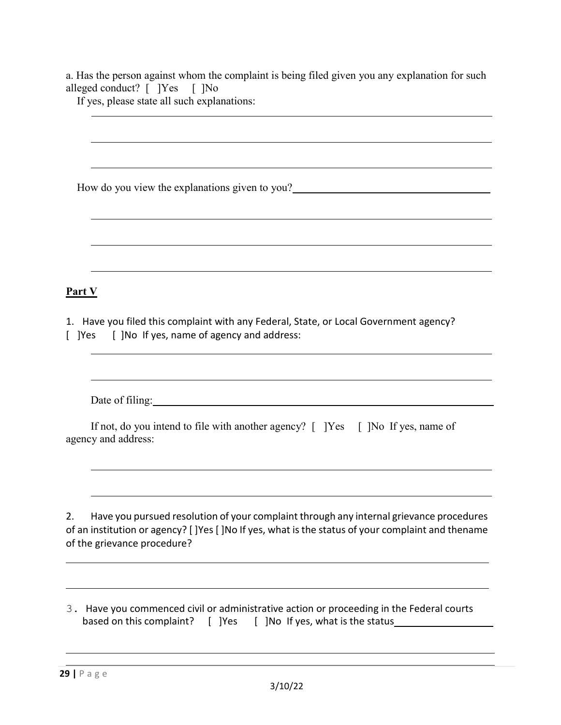a. Has the person against whom the complaint is being filed given you any explanation for such alleged conduct? [ ]Yes [ ]No

If yes, please state all such explanations:

How do you view the explanations given to you? **Part V** 1. Have you filed this complaint with any Federal, State, or Local Government agency? [ ]Yes [ ]No If yes, name of agency and address: Date of filing: No. 1996. The set of the set of the set of the set of the set of the set of the set of the set of the set of the set of the set of the set of the set of the set of the set of the set of the set of the set o If not, do you intend to file with another agency? [ ]Yes [ ]No If yes, name of agency and address: 2. Have you pursued resolution of your complaint through any internal grievance procedures of an institution or agency? [ ]Yes [ ]No If yes, what is the status of your complaint and thename of the grievance procedure?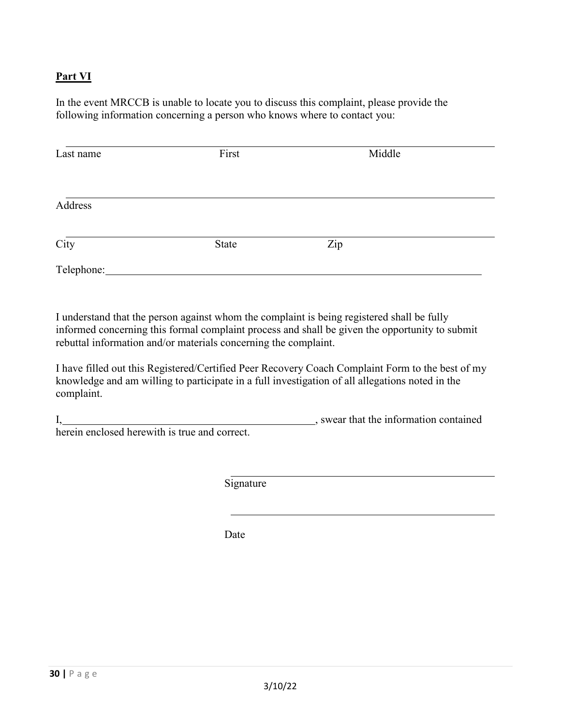#### **Part VI**

In the event MRCCB is unable to locate you to discuss this complaint, please provide the following information concerning a person who knows where to contact you:

| Last name  | First | Middle |  |
|------------|-------|--------|--|
|            |       |        |  |
| Address    |       |        |  |
| City       | State | Zip    |  |
| Telephone: |       |        |  |

I understand that the person against whom the complaint is being registered shall be fully informed concerning this formal complaint process and shall be given the opportunity to submit rebuttal information and/or materials concerning the complaint.

I have filled out this Registered/Certified Peer Recovery Coach Complaint Form to the best of my knowledge and am willing to participate in a full investigation of all allegations noted in the complaint.

I, wear that the information contained herein enclosed herewith is true and correct.

**Signature** 

Date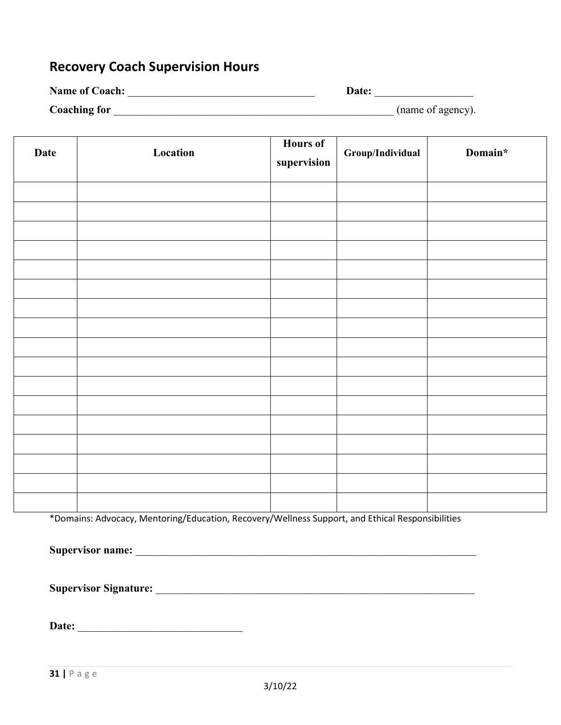## **Recovery Coach Supervision Hours**

| <b>Name of Coach:</b> | Date:             |
|-----------------------|-------------------|
| <b>Coaching for</b>   | (name of agency). |

| <b>Date</b> | Location | Hours of<br>supervision | Group/Individual | Domain* |
|-------------|----------|-------------------------|------------------|---------|
|             |          |                         |                  |         |
|             |          |                         |                  |         |
|             |          |                         |                  |         |
|             |          |                         |                  |         |
|             |          |                         |                  |         |
|             |          |                         |                  |         |
|             |          |                         |                  |         |
|             |          |                         |                  |         |
|             |          |                         |                  |         |
|             |          |                         |                  |         |
|             |          |                         |                  |         |
|             |          |                         |                  |         |
|             |          |                         |                  |         |
|             |          |                         |                  |         |
|             |          |                         |                  |         |
|             |          |                         |                  |         |
|             |          |                         |                  |         |

\*Domains: Advocacy, Mentoring/Education, Recovery/Wellness Support, and Ethical Responsibilities

**Supervisor name:** \_\_\_\_\_\_\_\_\_\_\_\_\_\_\_\_\_\_\_\_\_\_\_\_\_\_\_\_\_\_\_\_\_\_\_\_\_\_\_\_\_\_\_\_\_\_\_\_\_\_\_\_\_\_\_\_\_\_\_\_\_\_

**Supervisor Signature:** \_\_\_\_\_\_\_\_\_\_\_\_\_\_\_\_\_\_\_\_\_\_\_\_\_\_\_\_\_\_\_\_\_\_\_\_\_\_\_\_\_\_\_\_\_\_\_\_\_\_\_\_\_\_\_\_\_\_

**Date:** \_\_\_\_\_\_\_\_\_\_\_\_\_\_\_\_\_\_\_\_\_\_\_\_\_\_\_\_\_\_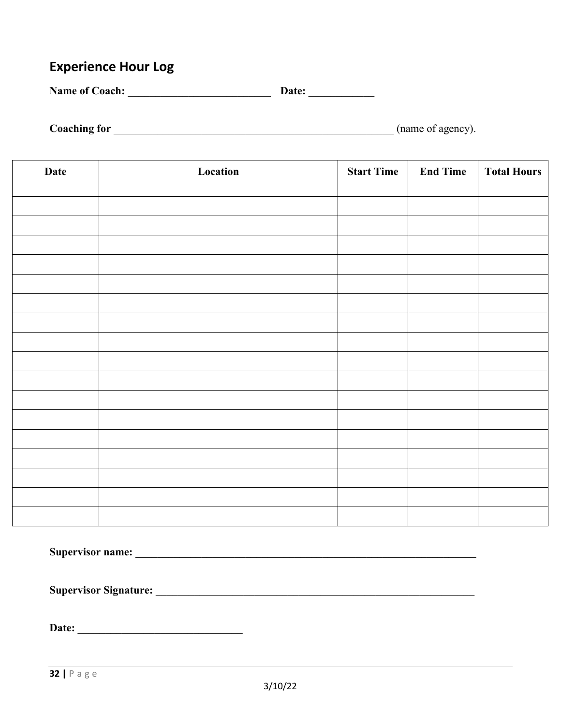## **Experience Hour Log**

**Name of Coach:** \_\_\_\_\_\_\_\_\_\_\_\_\_\_\_\_\_\_\_\_\_\_\_\_\_\_ **Date:** \_\_\_\_\_\_\_\_\_\_\_\_

**Coaching for** \_\_\_\_\_\_\_\_\_\_\_\_\_\_\_\_\_\_\_\_\_\_\_\_\_\_\_\_\_\_\_\_\_\_\_\_\_\_\_\_\_\_\_\_\_\_\_\_\_\_\_ (name of agency).

| Date | Location | <b>Start Time</b> | <b>End Time</b> | <b>Total Hours</b> |
|------|----------|-------------------|-----------------|--------------------|
|      |          |                   |                 |                    |
|      |          |                   |                 |                    |
|      |          |                   |                 |                    |
|      |          |                   |                 |                    |
|      |          |                   |                 |                    |
|      |          |                   |                 |                    |
|      |          |                   |                 |                    |
|      |          |                   |                 |                    |
|      |          |                   |                 |                    |
|      |          |                   |                 |                    |
|      |          |                   |                 |                    |
|      |          |                   |                 |                    |
|      |          |                   |                 |                    |
|      |          |                   |                 |                    |
|      |          |                   |                 |                    |
|      |          |                   |                 |                    |
|      |          |                   |                 |                    |

| <b>Supervisor name:</b>      |  |
|------------------------------|--|
|                              |  |
| <b>Supervisor Signature:</b> |  |
|                              |  |
| Date:                        |  |
|                              |  |